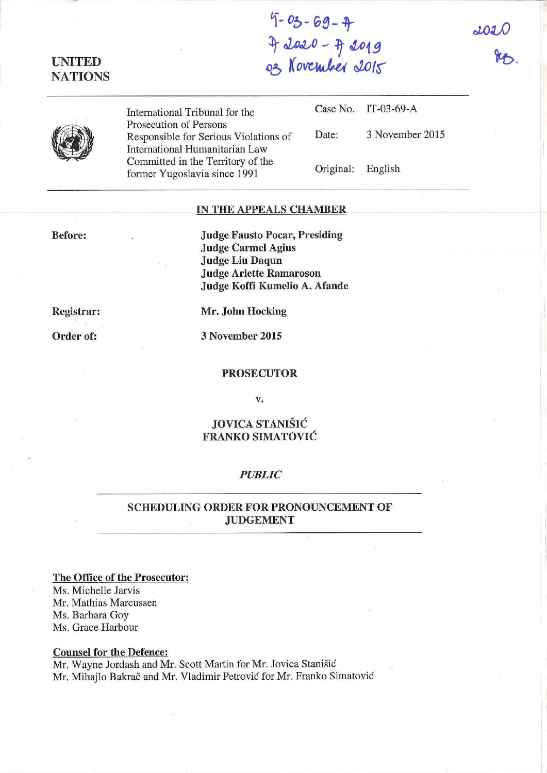# **UNITED NATIONS**

**1"-** *06-* 0~- t- <sup>~</sup>*al.o«--o* **- 11 M19**  03 November 2015

 $JOL$  $85$  **ISON** 



International Tribunal for the Prosecution of Persons Responsible for Serious Violations of International Humanitarian Law Committed in the Territory of the former Yugoslavia since 1991

Case No. IT-03-69-A

Date: 3 November 2015

Original: English

### **IN THE APPEALS CHAMBER**

**Before:** 

**Judge Fausto Pocar, Presiding Judge Carmel** Agius **Judge Liu Daqun Judge Arlette Ramaroson Judge Koffi Kumelio A. Afande** 

**Registrar:** 

**Order of:** 

**Mr. John Hocking** 

**3 November 2015** 

#### **PROSECUTOR**

**v.** 

## **JOVICA STANISH: FRANKO SIMATOVIC**

#### *PUBLIC*

## **SCHEDULING ORDER FOR PRONOUNCEMENT OF JUDGEMENT**

#### **The Office of the Prosecutor:**

Ms. Michelle Jarvis Mr. Mathias Marcussen Ms. Barbara Goy Ms. Grace Harbour

#### **Counsel for the Defence:**

Mr. Wayne Jordash and Mr. Scott Martin for Mr. Jovica Stanisic Mr. Mihajlo Bakrač and Mr. Vladimir Petrović for Mr. Franko Simatović